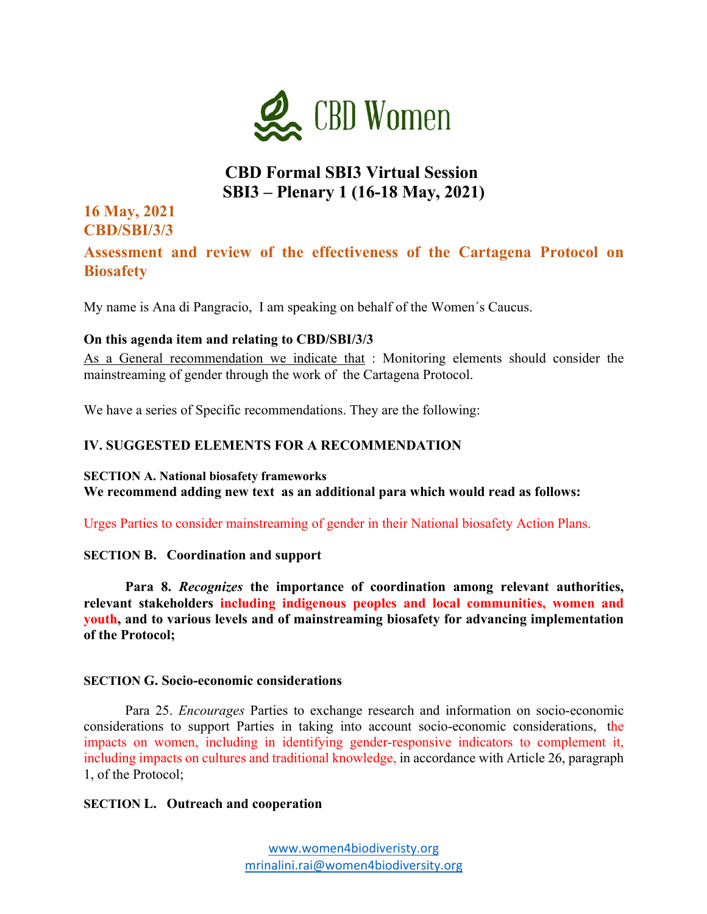

# **CBD Formal SBI3 Virtual Session SBI3 – Plenary 1 (16-18 May, 2021)**

# **16 May, 2021 CBD/SBI/3/3**

# **Assessment and review of the effectiveness of the Cartagena Protocol on Biosafety**

My name is Ana di Pangracio, I am speaking on behalf of the Women´s Caucus.

## **On this agenda item and relating to CBD/SBI/3/3**

As a General recommendation we indicate that : Monitoring elements should consider the mainstreaming of gender through the work of the Cartagena Protocol.

We have a series of Specific recommendations. They are the following:

## **IV. SUGGESTED ELEMENTS FOR A RECOMMENDATION**

#### **SECTION A. National biosafety frameworks**

**We recommend adding new text as an additional para which would read as follows:**

Urges Parties to consider mainstreaming of gender in their National biosafety Action Plans.

## **SECTION B. Coordination and support**

**Para 8.** *Recognizes* **the importance of coordination among relevant authorities, relevant stakeholders including indigenous peoples and local communities, women and youth, and to various levels and of mainstreaming biosafety for advancing implementation of the Protocol;**

#### **SECTION G. Socio-economic considerations**

Para 25. *Encourages* Parties to exchange research and information on socio-economic considerations to support Parties in taking into account socio-economic considerations, the impacts on women, including in identifying gender-responsive indicators to complement it, including impacts on cultures and traditional knowledge, in accordance with Article 26, paragraph 1, of the Protocol;

#### **SECTION L. Outreach and cooperation**